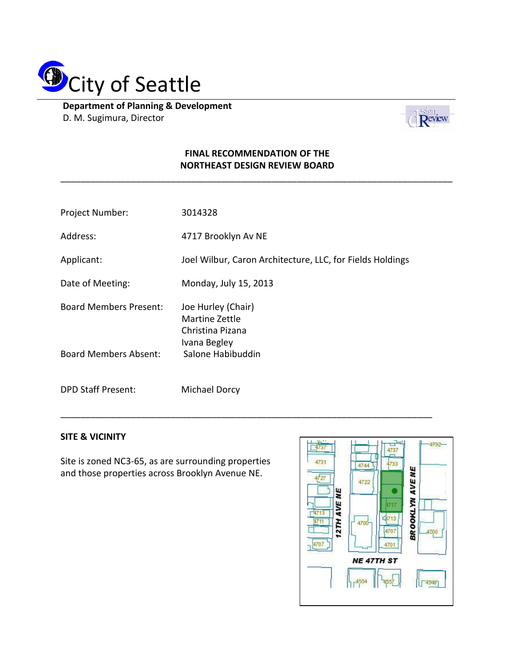

**Department of Planning & Development** D. M. Sugimura, Director



## **FINAL RECOMMENDATION OF THE NORTHEAST DESIGN REVIEW BOARD**

\_\_\_\_\_\_\_\_\_\_\_\_\_\_\_\_\_\_\_\_\_\_\_\_\_\_\_\_\_\_\_\_\_\_\_\_\_\_\_\_\_\_\_\_\_\_\_\_\_\_\_\_\_\_\_\_\_\_\_\_\_\_\_\_\_\_\_\_\_\_\_\_\_\_\_\_\_\_

| Project Number:               | 3014328                                                                  |
|-------------------------------|--------------------------------------------------------------------------|
| Address:                      | 4717 Brooklyn Av NE                                                      |
| Applicant:                    | Joel Wilbur, Caron Architecture, LLC, for Fields Holdings                |
| Date of Meeting:              | Monday, July 15, 2013                                                    |
| <b>Board Members Present:</b> | Joe Hurley (Chair)<br>Martine Zettle<br>Christina Pizana<br>Ivana Begley |
| <b>Board Members Absent:</b>  | Salone Habibuddin                                                        |
| <b>DPD Staff Present:</b>     | Michael Dorcy                                                            |

\_\_\_\_\_\_\_\_\_\_\_\_\_\_\_\_\_\_\_\_\_\_\_\_\_\_\_\_\_\_\_\_\_\_\_\_\_\_\_\_\_\_\_\_\_\_\_\_\_\_\_\_\_\_\_\_\_\_\_\_\_\_\_\_\_\_\_\_\_\_\_\_\_\_

## **SITE & VICINITY**

Site is zoned NC3-65, as are surrounding properties and those properties across Brooklyn Avenue NE.

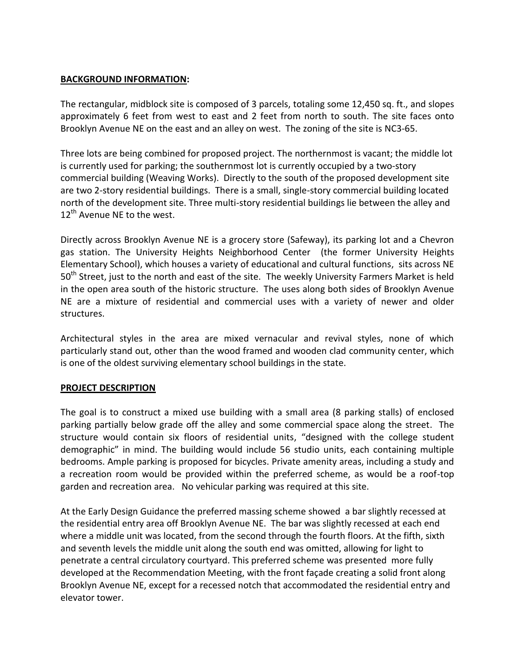## **BACKGROUND INFORMATION:**

The rectangular, midblock site is composed of 3 parcels, totaling some 12,450 sq. ft., and slopes approximately 6 feet from west to east and 2 feet from north to south. The site faces onto Brooklyn Avenue NE on the east and an alley on west. The zoning of the site is NC3-65.

Three lots are being combined for proposed project. The northernmost is vacant; the middle lot is currently used for parking; the southernmost lot is currently occupied by a two-story commercial building (Weaving Works). Directly to the south of the proposed development site are two 2-story residential buildings. There is a small, single-story commercial building located north of the development site. Three multi-story residential buildings lie between the alley and 12<sup>th</sup> Avenue NE to the west.

Directly across Brooklyn Avenue NE is a grocery store (Safeway), its parking lot and a Chevron gas station. The University Heights Neighborhood Center (the former University Heights Elementary School), which houses a variety of educational and cultural functions, sits across NE 50<sup>th</sup> Street, just to the north and east of the site. The weekly University Farmers Market is held in the open area south of the historic structure. The uses along both sides of Brooklyn Avenue NE are a mixture of residential and commercial uses with a variety of newer and older structures.

Architectural styles in the area are mixed vernacular and revival styles, none of which particularly stand out, other than the wood framed and wooden clad community center, which is one of the oldest surviving elementary school buildings in the state.

#### **PROJECT DESCRIPTION**

The goal is to construct a mixed use building with a small area (8 parking stalls) of enclosed parking partially below grade off the alley and some commercial space along the street. The structure would contain six floors of residential units, "designed with the college student demographic" in mind. The building would include 56 studio units, each containing multiple bedrooms. Ample parking is proposed for bicycles. Private amenity areas, including a study and a recreation room would be provided within the preferred scheme, as would be a roof-top garden and recreation area. No vehicular parking was required at this site.

At the Early Design Guidance the preferred massing scheme showed a bar slightly recessed at the residential entry area off Brooklyn Avenue NE. The bar was slightly recessed at each end where a middle unit was located, from the second through the fourth floors. At the fifth, sixth and seventh levels the middle unit along the south end was omitted, allowing for light to penetrate a central circulatory courtyard. This preferred scheme was presented more fully developed at the Recommendation Meeting, with the front façade creating a solid front along Brooklyn Avenue NE, except for a recessed notch that accommodated the residential entry and elevator tower.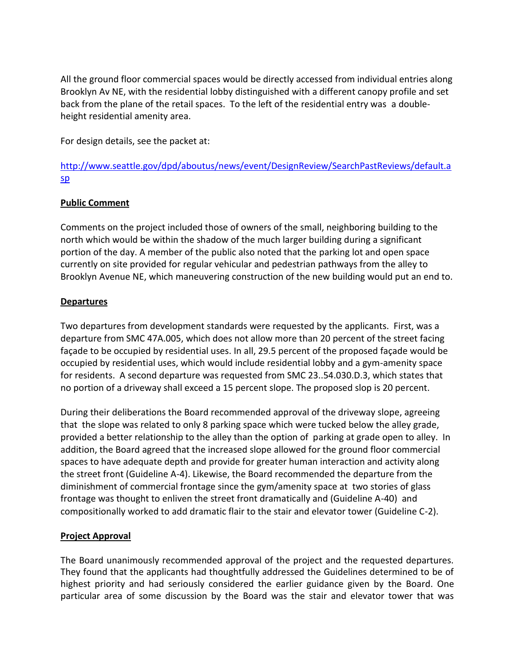All the ground floor commercial spaces would be directly accessed from individual entries along Brooklyn Av NE, with the residential lobby distinguished with a different canopy profile and set back from the plane of the retail spaces. To the left of the residential entry was a doubleheight residential amenity area.

For design details, see the packet at:

[http://www.seattle.gov/dpd/aboutus/news/event/DesignReview/SearchPastReviews/default.a](http://www.seattle.gov/dpd/aboutus/news/event/DesignReview/SearchPastReviews/default.asp) [sp](http://www.seattle.gov/dpd/aboutus/news/event/DesignReview/SearchPastReviews/default.asp)

# **Public Comment**

Comments on the project included those of owners of the small, neighboring building to the north which would be within the shadow of the much larger building during a significant portion of the day. A member of the public also noted that the parking lot and open space currently on site provided for regular vehicular and pedestrian pathways from the alley to Brooklyn Avenue NE, which maneuvering construction of the new building would put an end to.

## **Departures**

Two departures from development standards were requested by the applicants. First, was a departure from SMC 47A.005, which does not allow more than 20 percent of the street facing façade to be occupied by residential uses. In all, 29.5 percent of the proposed façade would be occupied by residential uses, which would include residential lobby and a gym-amenity space for residents. A second departure was requested from SMC 23..54.030.D.3, which states that no portion of a driveway shall exceed a 15 percent slope. The proposed slop is 20 percent.

During their deliberations the Board recommended approval of the driveway slope, agreeing that the slope was related to only 8 parking space which were tucked below the alley grade, provided a better relationship to the alley than the option of parking at grade open to alley. In addition, the Board agreed that the increased slope allowed for the ground floor commercial spaces to have adequate depth and provide for greater human interaction and activity along the street front (Guideline A-4). Likewise, the Board recommended the departure from the diminishment of commercial frontage since the gym/amenity space at two stories of glass frontage was thought to enliven the street front dramatically and (Guideline A-40) and compositionally worked to add dramatic flair to the stair and elevator tower (Guideline C-2).

#### **Project Approval**

The Board unanimously recommended approval of the project and the requested departures. They found that the applicants had thoughtfully addressed the Guidelines determined to be of highest priority and had seriously considered the earlier guidance given by the Board. One particular area of some discussion by the Board was the stair and elevator tower that was